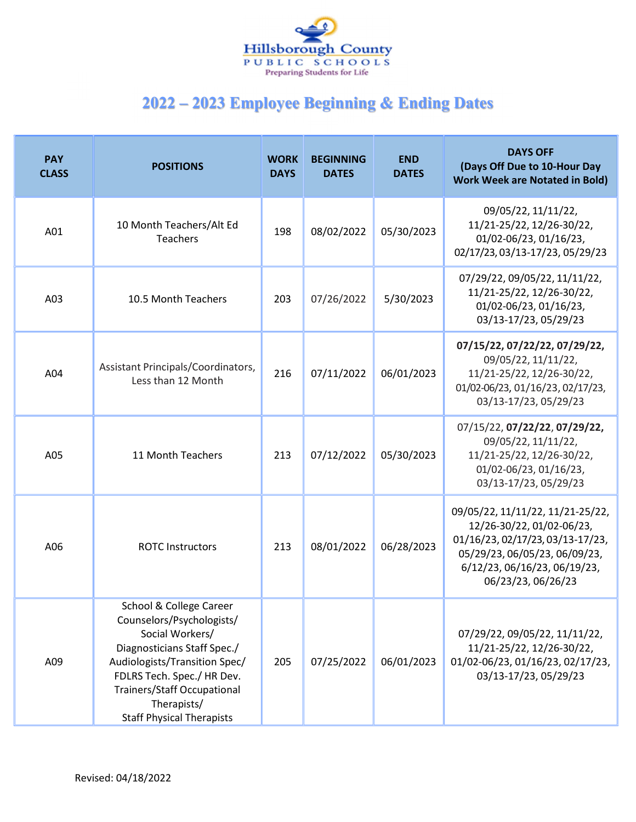

| <b>PAY</b><br><b>CLASS</b> | <b>POSITIONS</b>                                                                                                                                                                                                                                               | <b>WORK</b><br><b>DAYS</b> | <b>BEGINNING</b><br><b>DATES</b> | <b>END</b><br><b>DATES</b> | <b>DAYS OFF</b><br>(Days Off Due to 10-Hour Day<br><b>Work Week are Notated in Bold)</b>                                                                                                 |
|----------------------------|----------------------------------------------------------------------------------------------------------------------------------------------------------------------------------------------------------------------------------------------------------------|----------------------------|----------------------------------|----------------------------|------------------------------------------------------------------------------------------------------------------------------------------------------------------------------------------|
| A01                        | 10 Month Teachers/Alt Ed<br>Teachers                                                                                                                                                                                                                           | 198                        | 08/02/2022                       | 05/30/2023                 | 09/05/22, 11/11/22,<br>11/21-25/22, 12/26-30/22,<br>01/02-06/23, 01/16/23,<br>02/17/23, 03/13-17/23, 05/29/23                                                                            |
| A03                        | 10.5 Month Teachers                                                                                                                                                                                                                                            | 203                        | 07/26/2022                       | 5/30/2023                  | 07/29/22, 09/05/22, 11/11/22,<br>11/21-25/22, 12/26-30/22,<br>01/02-06/23, 01/16/23,<br>03/13-17/23, 05/29/23                                                                            |
| A04                        | Assistant Principals/Coordinators,<br>Less than 12 Month                                                                                                                                                                                                       | 216                        | 07/11/2022                       | 06/01/2023                 | 07/15/22, 07/22/22, 07/29/22,<br>09/05/22, 11/11/22,<br>11/21-25/22, 12/26-30/22,<br>01/02-06/23, 01/16/23, 02/17/23,<br>03/13-17/23, 05/29/23                                           |
| A05                        | 11 Month Teachers                                                                                                                                                                                                                                              | 213                        | 07/12/2022                       | 05/30/2023                 | 07/15/22, 07/22/22, 07/29/22,<br>09/05/22, 11/11/22,<br>11/21-25/22, 12/26-30/22,<br>01/02-06/23, 01/16/23,<br>03/13-17/23, 05/29/23                                                     |
| A06                        | <b>ROTC Instructors</b>                                                                                                                                                                                                                                        | 213                        | 08/01/2022                       | 06/28/2023                 | 09/05/22, 11/11/22, 11/21-25/22,<br>12/26-30/22, 01/02-06/23,<br>01/16/23, 02/17/23, 03/13-17/23,<br>05/29/23, 06/05/23, 06/09/23,<br>6/12/23, 06/16/23, 06/19/23,<br>06/23/23, 06/26/23 |
| A09                        | School & College Career<br>Counselors/Psychologists/<br>Social Workers/<br>Diagnosticians Staff Spec./<br>Audiologists/Transition Spec/<br>FDLRS Tech. Spec./ HR Dev.<br><b>Trainers/Staff Occupational</b><br>Therapists/<br><b>Staff Physical Therapists</b> | 205                        | 07/25/2022                       | 06/01/2023                 | 07/29/22, 09/05/22, 11/11/22,<br>11/21-25/22, 12/26-30/22,<br>01/02-06/23, 01/16/23, 02/17/23,<br>03/13-17/23, 05/29/23                                                                  |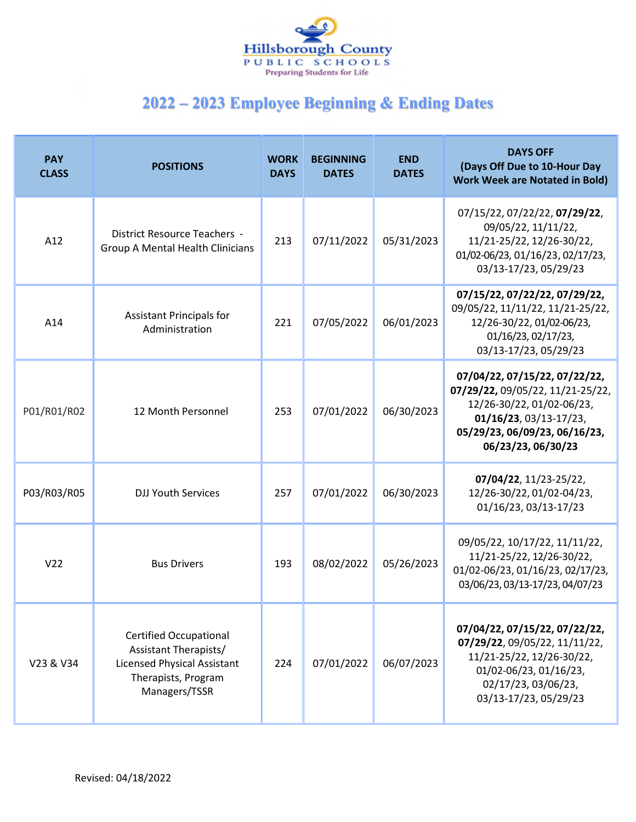

| <b>PAY</b><br><b>CLASS</b> | <b>POSITIONS</b>                                                                                                                     | <b>WORK</b><br><b>DAYS</b> | <b>BEGINNING</b><br><b>DATES</b> | <b>END</b><br><b>DATES</b> | <b>DAYS OFF</b><br>(Days Off Due to 10-Hour Day<br><b>Work Week are Notated in Bold)</b>                                                                                              |
|----------------------------|--------------------------------------------------------------------------------------------------------------------------------------|----------------------------|----------------------------------|----------------------------|---------------------------------------------------------------------------------------------------------------------------------------------------------------------------------------|
| A12                        | District Resource Teachers -<br><b>Group A Mental Health Clinicians</b>                                                              | 213                        | 07/11/2022                       | 05/31/2023                 | 07/15/22, 07/22/22, 07/29/22,<br>09/05/22, 11/11/22,<br>11/21-25/22, 12/26-30/22,<br>01/02-06/23, 01/16/23, 02/17/23,<br>03/13-17/23, 05/29/23                                        |
| A14                        | <b>Assistant Principals for</b><br>Administration                                                                                    | 221                        | 07/05/2022                       | 06/01/2023                 | 07/15/22, 07/22/22, 07/29/22,<br>09/05/22, 11/11/22, 11/21-25/22,<br>12/26-30/22, 01/02-06/23,<br>01/16/23, 02/17/23,<br>03/13-17/23, 05/29/23                                        |
| P01/R01/R02                | 12 Month Personnel                                                                                                                   | 253                        | 07/01/2022                       | 06/30/2023                 | 07/04/22, 07/15/22, 07/22/22,<br>07/29/22, 09/05/22, 11/21-25/22,<br>12/26-30/22, 01/02-06/23,<br>$01/16/23$ , $03/13-17/23$ ,<br>05/29/23, 06/09/23, 06/16/23,<br>06/23/23, 06/30/23 |
| P03/R03/R05                | <b>DJJ Youth Services</b>                                                                                                            | 257                        | 07/01/2022                       | 06/30/2023                 | 07/04/22, 11/23-25/22,<br>12/26-30/22, 01/02-04/23,<br>01/16/23, 03/13-17/23                                                                                                          |
| V <sub>22</sub>            | <b>Bus Drivers</b>                                                                                                                   | 193                        | 08/02/2022                       | 05/26/2023                 | 09/05/22, 10/17/22, 11/11/22,<br>11/21-25/22, 12/26-30/22,<br>01/02-06/23, 01/16/23, 02/17/23,<br>03/06/23, 03/13-17/23, 04/07/23                                                     |
| V23 & V34                  | <b>Certified Occupational</b><br>Assistant Therapists/<br><b>Licensed Physical Assistant</b><br>Therapists, Program<br>Managers/TSSR | 224                        | 07/01/2022                       | 06/07/2023                 | 07/04/22, 07/15/22, 07/22/22,<br>07/29/22, 09/05/22, 11/11/22,<br>11/21-25/22, 12/26-30/22,<br>01/02-06/23, 01/16/23,<br>02/17/23, 03/06/23,<br>03/13-17/23, 05/29/23                 |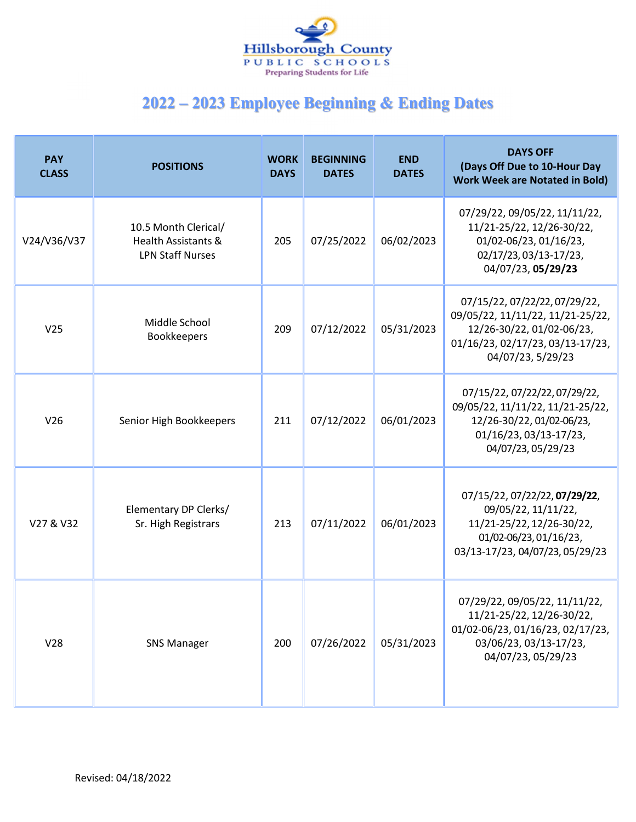

| <b>PAY</b><br><b>CLASS</b> | <b>POSITIONS</b>                                                                  | <b>WORK</b><br><b>DAYS</b> | <b>BEGINNING</b><br><b>DATES</b> | <b>END</b><br><b>DATES</b> | <b>DAYS OFF</b><br>(Days Off Due to 10-Hour Day<br><b>Work Week are Notated in Bold)</b>                                                                |
|----------------------------|-----------------------------------------------------------------------------------|----------------------------|----------------------------------|----------------------------|---------------------------------------------------------------------------------------------------------------------------------------------------------|
| V24/V36/V37                | 10.5 Month Clerical/<br><b>Health Assistants &amp;</b><br><b>LPN Staff Nurses</b> | 205                        | 07/25/2022                       | 06/02/2023                 | 07/29/22, 09/05/22, 11/11/22,<br>11/21-25/22, 12/26-30/22,<br>01/02-06/23, 01/16/23,<br>02/17/23, 03/13-17/23,<br>04/07/23, 05/29/23                    |
| V <sub>25</sub>            | Middle School<br><b>Bookkeepers</b>                                               | 209                        | 07/12/2022                       | 05/31/2023                 | 07/15/22, 07/22/22, 07/29/22,<br>09/05/22, 11/11/22, 11/21-25/22,<br>12/26-30/22, 01/02-06/23,<br>01/16/23, 02/17/23, 03/13-17/23,<br>04/07/23, 5/29/23 |
| V26                        | Senior High Bookkeepers                                                           | 211                        | 07/12/2022                       | 06/01/2023                 | 07/15/22, 07/22/22, 07/29/22,<br>09/05/22, 11/11/22, 11/21-25/22,<br>12/26-30/22, 01/02-06/23,<br>01/16/23, 03/13-17/23,<br>04/07/23, 05/29/23          |
| V27 & V32                  | Elementary DP Clerks/<br>Sr. High Registrars                                      | 213                        | 07/11/2022                       | 06/01/2023                 | 07/15/22, 07/22/22, 07/29/22,<br>09/05/22, 11/11/22,<br>11/21-25/22, 12/26-30/22,<br>01/02-06/23, 01/16/23,<br>03/13-17/23, 04/07/23, 05/29/23          |
| V28                        | <b>SNS Manager</b>                                                                | 200                        | 07/26/2022                       | 05/31/2023                 | 07/29/22, 09/05/22, 11/11/22,<br>11/21-25/22, 12/26-30/22,<br>01/02-06/23, 01/16/23, 02/17/23,<br>03/06/23, 03/13-17/23,<br>04/07/23, 05/29/23          |